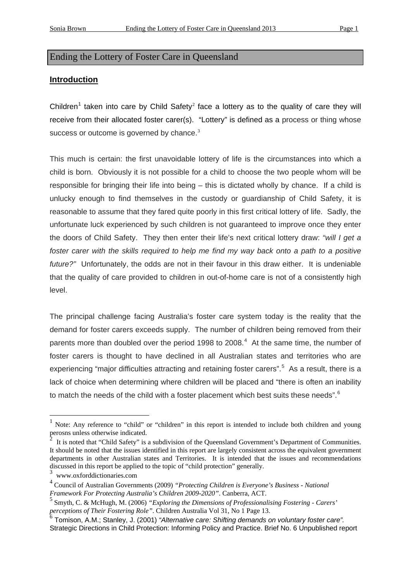## Ending the Lottery of Foster Care in Queensland

### **Introduction**

Children<sup>[1](#page-0-0)</sup> taken into care by Child Safety<sup>[2](#page-0-1)</sup> face a lottery as to the quality of care they will receive from their allocated foster carer(s). "Lottery" is defined as a process or thing whose success or outcome is governed by chance. $3$ 

This much is certain: the first unavoidable lottery of life is the circumstances into which a child is born. Obviously it is not possible for a child to choose the two people whom will be responsible for bringing their life into being – this is dictated wholly by chance. If a child is unlucky enough to find themselves in the custody or guardianship of Child Safety, it is reasonable to assume that they fared quite poorly in this first critical lottery of life. Sadly, the unfortunate luck experienced by such children is not guaranteed to improve once they enter the doors of Child Safety. They then enter their life's next critical lottery draw: *"will I get a*  foster carer with the skills required to help me find my way back onto a path to a positive *future?"* Unfortunately, the odds are not in their favour in this draw either. It is undeniable that the quality of care provided to children in out-of-home care is not of a consistently high level.

The principal challenge facing Australia's foster care system today is the reality that the demand for foster carers exceeds supply. The number of children being removed from their parents more than doubled over the period 1998 to 2008. $4$  At the same time, the number of foster carers is thought to have declined in all Australian states and territories who are experiencing "major difficulties attracting and retaining foster carers".<sup>[5](#page-0-4)</sup> As a result, there is a lack of choice when determining where children will be placed and "there is often an inability to match the needs of the child with a foster placement which best suits these needs". $6$ 

1

<span id="page-0-0"></span><sup>1</sup> Note: Any reference to "child" or "children" in this report is intended to include both children and young perosns unless otherwise indicated.

<span id="page-0-1"></span><sup>2</sup> It is noted that "Child Safety" is a subdivision of the Queensland Government's Department of Communities. It should be noted that the issues identified in this report are largely consistent across the equivalent government departments in other Australian states and Territories. It is intended that the issues and recommendations discussed in this report be applied to the topic of "child protection" generally.

<span id="page-0-6"></span><span id="page-0-2"></span><sup>3</sup> www.oxforddictionaries.com

<span id="page-0-3"></span><sup>4</sup> Council of Australian Governments (2009) *"Protecting Children is Everyone's Business - National Framework For Protecting Australia's Children 2009-2020"*. Canberra, ACT.

<span id="page-0-4"></span><sup>5</sup> Smyth, C. & McHugh, M. (2006) *"Exploring the Dimensions of Professionalising Fostering - Carers' perceptions of Their Fostering Role"*. Children Australia Vol 31, No 1 Page 13.

<span id="page-0-5"></span><sup>6</sup> Tomison, A.M.; Stanley, J. (2001) *"Alternative care: Shifting demands on voluntary foster care".*  Strategic Directions in Child Protection: Informing Policy and Practice. Brief No. 6 Unpublished report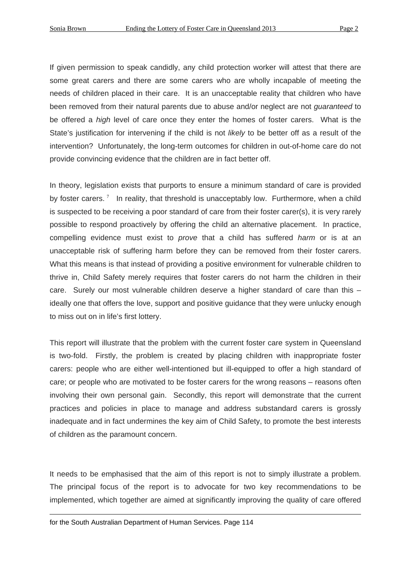If given permission to speak candidly, any child protection worker will attest that there are some great carers and there are some carers who are wholly incapable of meeting the needs of children placed in their care. It is an unacceptable reality that children who have been removed from their natural parents due to abuse and/or neglect are not *guaranteed* to be offered a *high* level of care once they enter the homes of foster carers. What is the State's justification for intervening if the child is not *likely* to be better off as a result of the intervention? Unfortunately, the long-term outcomes for children in out-of-home care do not provide convincing evidence that the children are in fact better off.

In theory, legislation exists that purports to ensure a minimum standard of care is provided by foster carers.<sup>[7](#page-0-6)</sup> In reality, that threshold is unacceptably low. Furthermore, when a child is suspected to be receiving a poor standard of care from their foster carer(s), it is very rarely possible to respond proactively by offering the child an alternative placement. In practice, compelling evidence must exist to *prove* that a child has suffered *harm* or is at an unacceptable risk of suffering harm before they can be removed from their foster carers. What this means is that instead of providing a positive environment for vulnerable children to thrive in, Child Safety merely requires that foster carers do not harm the children in their care. Surely our most vulnerable children deserve a higher standard of care than this – ideally one that offers the love, support and positive guidance that they were unlucky enough to miss out on in life's first lottery.

This report will illustrate that the problem with the current foster care system in Queensland is two-fold. Firstly, the problem is created by placing children with inappropriate foster carers: people who are either well-intentioned but ill-equipped to offer a high standard of care; or people who are motivated to be foster carers for the wrong reasons – reasons often involving their own personal gain. Secondly, this report will demonstrate that the current practices and policies in place to manage and address substandard carers is grossly inadequate and in fact undermines the key aim of Child Safety, to promote the best interests of children as the paramount concern.

<span id="page-1-0"></span>It needs to be emphasised that the aim of this report is not to simply illustrate a problem. The principal focus of the report is to advocate for two key recommendations to be implemented, which together are aimed at significantly improving the quality of care offered

for the South Australian Department of Human Services. Page 114

<u>.</u>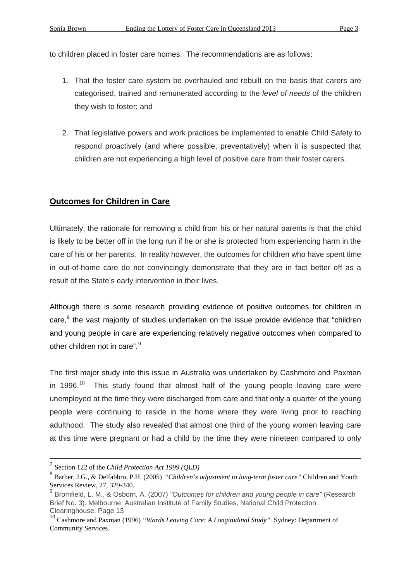to children placed in foster care homes. The recommendations are as follows:

- 1. That the foster care system be overhauled and rebuilt on the basis that carers are categorised, trained and remunerated according to the *level of needs* of the children they wish to foster; and
- 2. That legislative powers and work practices be implemented to enable Child Safety to respond proactively (and where possible, preventatively) when it is suspected that children are not experiencing a high level of positive care from their foster carers.

### **Outcomes for Children in Care**

Ultimately, the rationale for removing a child from his or her natural parents is that the child is likely to be better off in the long run if he or she is protected from experiencing harm in the care of his or her parents. In reality however, the outcomes for children who have spent time in out-of-home care do not convincingly demonstrate that they are in fact better off as a result of the State's early intervention in their lives.

Although there is some research providing evidence of positive outcomes for children in care,<sup>[8](#page-1-0)</sup> the vast majority of studies undertaken on the issue provide evidence that "children and young people in care are experiencing relatively negative outcomes when compared to other children not in care".<sup>[9](#page-2-0)</sup>

The first major study into this issue in Australia was undertaken by Cashmore and Paxman in 1996.<sup>10</sup> This study found that almost half of the young people leaving care were unemployed at the time they were discharged from care and that only a quarter of the young people were continuing to reside in the home where they were living prior to reaching adulthood. The study also revealed that almost one third of the young women leaving care at this time were pregnant or had a child by the time they were nineteen compared to only

 <sup>7</sup> Section 122 of the *Child Protection Act 1999 (QLD)*

<span id="page-2-2"></span><sup>8</sup> Barber, J.G., & Delfabbro, P.H. (2005) "*Children's adjustment to long-term foster care"* Children and Youth Services Review, 27, 329-340.

<span id="page-2-0"></span><sup>9</sup> Bromfield, L. M., & Osborn, A. (2007) *"Outcomes for children and young people in care"* (Research Brief No. 3). Melbourne: Australian Institute of Family Studies, National Child Protection Clearinghouse. Page 13

<span id="page-2-1"></span><sup>10</sup> Cashmore and Paxman (1996) *"Wards Leaving Care: A Longitudinal Study".* Sydney: Department of Community Services.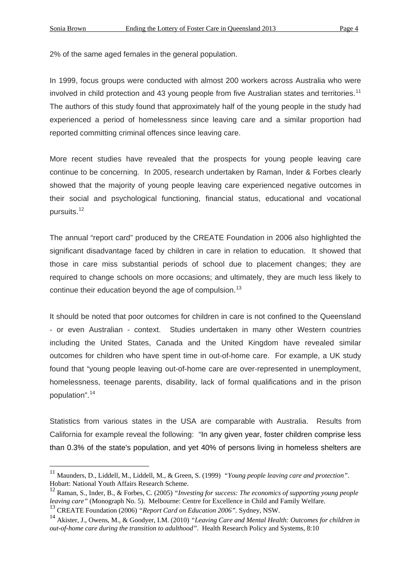1

2% of the same aged females in the general population.

In 1999, focus groups were conducted with almost 200 workers across Australia who were involved in child protection and 43 young people from five Australian states and territories.<sup>[11](#page-2-2)</sup> The authors of this study found that approximately half of the young people in the study had experienced a period of homelessness since leaving care and a similar proportion had reported committing criminal offences since leaving care.

More recent studies have revealed that the prospects for young people leaving care continue to be concerning. In 2005, research undertaken by Raman, Inder & Forbes clearly showed that the majority of young people leaving care experienced negative outcomes in their social and psychological functioning, financial status, educational and vocational pursuits.[12](#page-3-0)

The annual "report card" produced by the CREATE Foundation in 2006 also highlighted the significant disadvantage faced by children in care in relation to education. It showed that those in care miss substantial periods of school due to placement changes; they are required to change schools on more occasions; and ultimately, they are much less likely to continue their education beyond the age of compulsion.<sup>[13](#page-3-1)</sup>

It should be noted that poor outcomes for children in care is not confined to the Queensland - or even Australian - context. Studies undertaken in many other Western countries including the United States, Canada and the United Kingdom have revealed similar outcomes for children who have spent time in out-of-home care. For example, a UK study found that "young people leaving out-of-home care are over-represented in unemployment, homelessness, teenage parents, disability, lack of formal qualifications and in the prison population".[14](#page-3-2) 

Statistics from various states in the USA are comparable with Australia. Results from California for example reveal the following: "In any given year, foster children comprise less than 0.3% of the state's population, and yet 40% of persons living in homeless shelters are

<sup>11</sup> Maunders, D., Liddell, M., Liddell, M., & Green, S. (1999) *"Young people leaving care and protection"*. Hobart: National Youth Affairs Research Scheme.

<span id="page-3-0"></span><sup>12</sup> Raman, S., Inder, B., & Forbes, C. (2005) *"Investing for success: The economics of supporting young people leaving care"* (Monograph No. 5). Melbourne: Centre for Excellence in Child and Family Welfare.

<span id="page-3-1"></span><sup>13</sup> CREATE Foundation (2006) *"Report Card on Education 2006".* Sydney, NSW.

<span id="page-3-2"></span><sup>14</sup> Akister, J., Owens, M., & Goodyer, I.M. (2010) *"Leaving Care and Mental Health: Outcomes for children in out-of-home care during the transition to adulthood"*. Health Research Policy and Systems, 8:10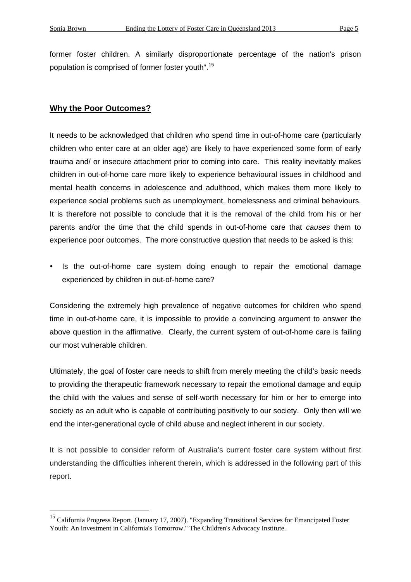former foster children. A similarly disproportionate percentage of the nation's prison population is comprised of former foster youth".[15](#page-3-2)

#### **Why the Poor Outcomes?**

It needs to be acknowledged that children who spend time in out-of-home care (particularly children who enter care at an older age) are likely to have experienced some form of early trauma and/ or insecure attachment prior to coming into care. This reality inevitably makes children in out-of-home care more likely to experience behavioural issues in childhood and mental health concerns in adolescence and adulthood, which makes them more likely to experience social problems such as unemployment, homelessness and criminal behaviours. It is therefore not possible to conclude that it is the removal of the child from his or her parents and/or the time that the child spends in out-of-home care that *causes* them to experience poor outcomes. The more constructive question that needs to be asked is this:

• Is the out-of-home care system doing enough to repair the emotional damage experienced by children in out-of-home care?

Considering the extremely high prevalence of negative outcomes for children who spend time in out-of-home care, it is impossible to provide a convincing argument to answer the above question in the affirmative. Clearly, the current system of out-of-home care is failing our most vulnerable children.

Ultimately, the goal of foster care needs to shift from merely meeting the child's basic needs to providing the therapeutic framework necessary to repair the emotional damage and equip the child with the values and sense of self-worth necessary for him or her to emerge into society as an adult who is capable of contributing positively to our society. Only then will we end the inter-generational cycle of child abuse and neglect inherent in our society.

<span id="page-4-0"></span>It is not possible to consider reform of Australia's current foster care system without first understanding the difficulties inherent therein, which is addressed in the following part of this report.

<sup>&</sup>lt;sup>15</sup> California Progress Report. (January 17, 2007). "Expanding Transitional Services for Emancipated Foster Youth: An Investment in California's Tomorrow." The Children's Advocacy Institute.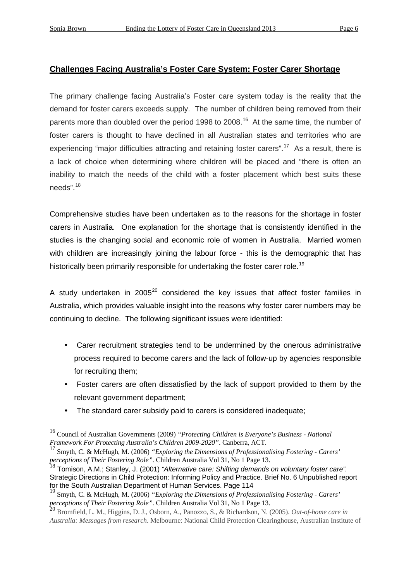### **Challenges Facing Australia's Foster Care System: Foster Carer Shortage**

The primary challenge facing Australia's Foster care system today is the reality that the demand for foster carers exceeds supply. The number of children being removed from their parents more than doubled over the period 1998 to 2008.<sup>16</sup> At the same time, the number of foster carers is thought to have declined in all Australian states and territories who are experiencing "major difficulties attracting and retaining foster carers".<sup>17</sup> As a result, there is a lack of choice when determining where children will be placed and "there is often an inability to match the needs of the child with a foster placement which best suits these needs".[18](#page-5-1)

Comprehensive studies have been undertaken as to the reasons for the shortage in foster carers in Australia. One explanation for the shortage that is consistently identified in the studies is the changing social and economic role of women in Australia. Married women with children are increasingly joining the labour force - this is the demographic that has historically been primarily responsible for undertaking the foster carer role.<sup>[19](#page-5-2)</sup>

A study undertaken in [20](#page-5-3)05 $^{20}$  considered the key issues that affect foster families in Australia, which provides valuable insight into the reasons why foster carer numbers may be continuing to decline. The following significant issues were identified:

- Carer recruitment strategies tend to be undermined by the onerous administrative process required to become carers and the lack of follow-up by agencies responsible for recruiting them;
- Foster carers are often dissatisfied by the lack of support provided to them by the relevant government department;
- The standard carer subsidy paid to carers is considered inadequate;

<sup>16</sup> Council of Australian Governments (2009) *"Protecting Children is Everyone's Business - National Framework For Protecting Australia's Children 2009-2020"*. Canberra, ACT.

<span id="page-5-0"></span><sup>17</sup> Smyth, C. & McHugh, M. (2006) *"Exploring the Dimensions of Professionalising Fostering - Carers' perceptions of Their Fostering Role"*. Children Australia Vol 31, No 1 Page 13.

<span id="page-5-1"></span><sup>18</sup> Tomison, A.M.; Stanley, J. (2001) *"Alternative care: Shifting demands on voluntary foster care".*  Strategic Directions in Child Protection: Informing Policy and Practice. Brief No. 6 Unpublished report for the South Australian Department of Human Services. Page 114

<span id="page-5-2"></span><sup>19</sup> Smyth, C. & McHugh, M. (2006) *"Exploring the Dimensions of Professionalising Fostering - Carers' perceptions of Their Fostering Role"*. Children Australia Vol 31, No 1 Page 13.

<span id="page-5-4"></span><span id="page-5-3"></span><sup>20</sup> Bromfield, L. M., Higgins, D. J., Osborn, A., Panozzo, S., & Richardson, N. (2005). *Out-of-home care in Australia: Messages from research*. Melbourne: National Child Protection Clearinghouse, Australian Institute of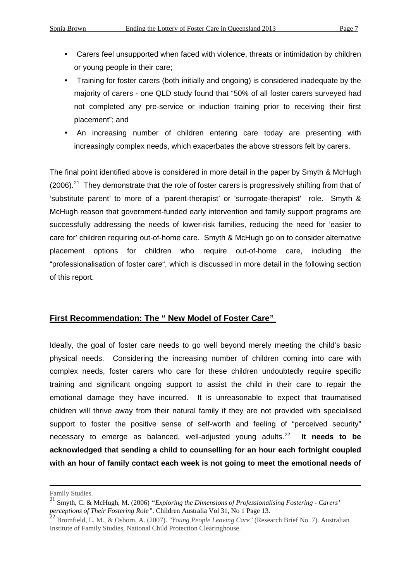- Carers feel unsupported when faced with violence, threats or intimidation by children or young people in their care;
- Training for foster carers (both initially and ongoing) is considered inadequate by the majority of carers - one QLD study found that "50% of all foster carers surveyed had not completed any pre-service or induction training prior to receiving their first placement"; and
- An increasing number of children entering care today are presenting with increasingly complex needs, which exacerbates the above stressors felt by carers.

The final point identified above is considered in more detail in the paper by Smyth & McHugh  $(2006).<sup>21</sup>$  $(2006).<sup>21</sup>$  $(2006).<sup>21</sup>$  They demonstrate that the role of foster carers is progressively shifting from that of 'substitute parent' to more of a 'parent-therapist' or 'surrogate-therapist' role. Smyth & McHugh reason that government-funded early intervention and family support programs are successfully addressing the needs of lower-risk families, reducing the need for 'easier to care for' children requiring out-of-home care. Smyth & McHugh go on to consider alternative placement options for children who require out-of-home care, including the "professionalisation of foster care", which is discussed in more detail in the following section of this report.

### **First Recommendation: The " New Model of Foster Care"**

Ideally, the goal of foster care needs to go well beyond merely meeting the child's basic physical needs. Considering the increasing number of children coming into care with complex needs, foster carers who care for these children undoubtedly require specific training and significant ongoing support to assist the child in their care to repair the emotional damage they have incurred. It is unreasonable to expect that traumatised children will thrive away from their natural family if they are not provided with specialised support to foster the positive sense of self-worth and feeling of "perceived security" necessary to emerge as balanced, well-adjusted young adults.[22](#page-6-0) **It needs to be acknowledged that sending a child to counselling for an hour each fortnight coupled with an hour of family contact each week is not going to meet the emotional needs of** 

Family Studies.

<sup>21</sup> Smyth, C. & McHugh, M. (2006) *"Exploring the Dimensions of Professionalising Fostering - Carers' perceptions of Their Fostering Role"*. Children Australia Vol 31, No 1 Page 13.

<span id="page-6-1"></span><span id="page-6-0"></span><sup>22</sup> Bromfield, L. M., & Osborn, A. (2007). *"Young People Leaving Care"* (Research Brief No. 7). Australian Institute of Family Studies, National Child Protection Clearinghouse.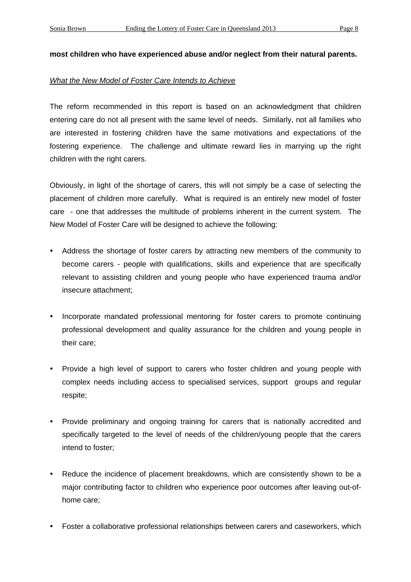#### **most children who have experienced abuse and/or neglect from their natural parents.**

#### *What the New Model of Foster Care Intends to Achieve*

The reform recommended in this report is based on an acknowledgment that children entering care do not all present with the same level of needs. Similarly, not all families who are interested in fostering children have the same motivations and expectations of the fostering experience. The challenge and ultimate reward lies in marrying up the right children with the right carers.

Obviously, in light of the shortage of carers, this will not simply be a case of selecting the placement of children more carefully. What is required is an entirely new model of foster care - one that addresses the multitude of problems inherent in the current system. The New Model of Foster Care will be designed to achieve the following:

- Address the shortage of foster carers by attracting new members of the community to become carers - people with qualifications, skills and experience that are specifically relevant to assisting children and young people who have experienced trauma and/or insecure attachment;
- Incorporate mandated professional mentoring for foster carers to promote continuing professional development and quality assurance for the children and young people in their care;
- Provide a high level of support to carers who foster children and young people with complex needs including access to specialised services, support groups and regular respite;
- Provide preliminary and ongoing training for carers that is nationally accredited and specifically targeted to the level of needs of the children/young people that the carers intend to foster;
- Reduce the incidence of placement breakdowns, which are consistently shown to be a major contributing factor to children who experience poor outcomes after leaving out-ofhome care;
- Foster a collaborative professional relationships between carers and caseworkers, which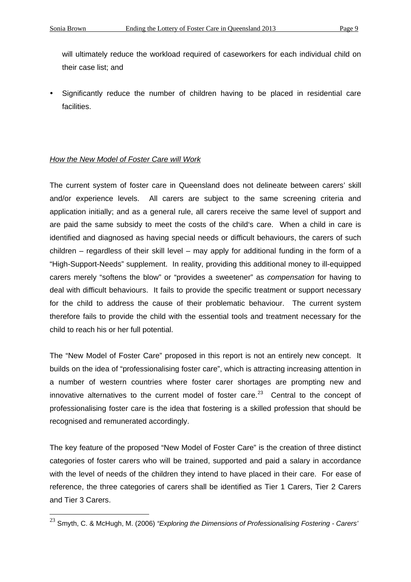will ultimately reduce the workload required of caseworkers for each individual child on their case list; and

 Significantly reduce the number of children having to be placed in residential care facilities.

### *How the New Model of Foster Care will Work*

The current system of foster care in Queensland does not delineate between carers' skill and/or experience levels. All carers are subject to the same screening criteria and application initially; and as a general rule, all carers receive the same level of support and are paid the same subsidy to meet the costs of the child's care. When a child in care is identified and diagnosed as having special needs or difficult behaviours, the carers of such children – regardless of their skill level – may apply for additional funding in the form of a "High-Support-Needs" supplement. In reality, providing this additional money to ill-equipped carers merely "softens the blow" or "provides a sweetener" as *compensation* for having to deal with difficult behaviours. It fails to provide the specific treatment or support necessary for the child to address the cause of their problematic behaviour. The current system therefore fails to provide the child with the essential tools and treatment necessary for the child to reach his or her full potential.

The "New Model of Foster Care" proposed in this report is not an entirely new concept. It builds on the idea of "professionalising foster care", which is attracting increasing attention in a number of western countries where foster carer shortages are prompting new and innovative alternatives to the current model of foster care.<sup>[23](#page-6-1)</sup> Central to the concept of professionalising foster care is the idea that fostering is a skilled profession that should be recognised and remunerated accordingly.

The key feature of the proposed "New Model of Foster Care" is the creation of three distinct categories of foster carers who will be trained, supported and paid a salary in accordance with the level of needs of the children they intend to have placed in their care. For ease of reference, the three categories of carers shall be identified as Tier 1 Carers, Tier 2 Carers and Tier 3 Carers.

<span id="page-8-0"></span><sup>23</sup> Smyth, C. & McHugh, M. (2006) *"Exploring the Dimensions of Professionalising Fostering - Carers'*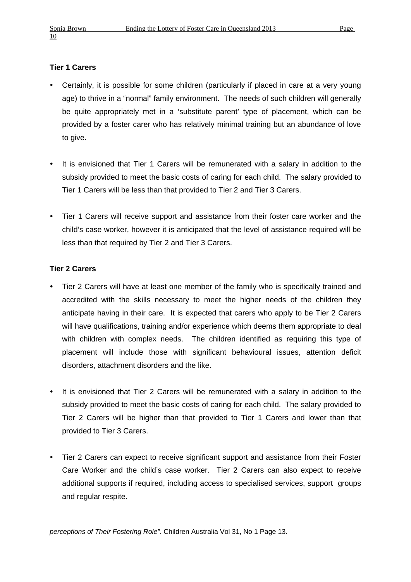## **Tier 1 Carers**

- Certainly, it is possible for some children (particularly if placed in care at a very young age) to thrive in a "normal" family environment. The needs of such children will generally be quite appropriately met in a 'substitute parent' type of placement, which can be provided by a foster carer who has relatively minimal training but an abundance of love to give.
- It is envisioned that Tier 1 Carers will be remunerated with a salary in addition to the subsidy provided to meet the basic costs of caring for each child. The salary provided to Tier 1 Carers will be less than that provided to Tier 2 and Tier 3 Carers.
- Tier 1 Carers will receive support and assistance from their foster care worker and the child's case worker, however it is anticipated that the level of assistance required will be less than that required by Tier 2 and Tier 3 Carers.

### **Tier 2 Carers**

- Tier 2 Carers will have at least one member of the family who is specifically trained and accredited with the skills necessary to meet the higher needs of the children they anticipate having in their care. It is expected that carers who apply to be Tier 2 Carers will have qualifications, training and/or experience which deems them appropriate to deal with children with complex needs. The children identified as requiring this type of placement will include those with significant behavioural issues, attention deficit disorders, attachment disorders and the like.
- It is envisioned that Tier 2 Carers will be remunerated with a salary in addition to the subsidy provided to meet the basic costs of caring for each child. The salary provided to Tier 2 Carers will be higher than that provided to Tier 1 Carers and lower than that provided to Tier 3 Carers.
- Tier 2 Carers can expect to receive significant support and assistance from their Foster Care Worker and the child's case worker. Tier 2 Carers can also expect to receive additional supports if required, including access to specialised services, support groups and regular respite.

1 *perceptions of Their Fostering Role"*. Children Australia Vol 31, No 1 Page 13.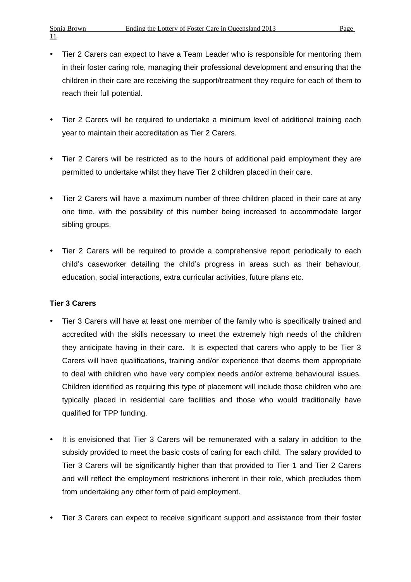- Tier 2 Carers can expect to have a Team Leader who is responsible for mentoring them in their foster caring role, managing their professional development and ensuring that the children in their care are receiving the support/treatment they require for each of them to reach their full potential.
- Tier 2 Carers will be required to undertake a minimum level of additional training each year to maintain their accreditation as Tier 2 Carers.
- Tier 2 Carers will be restricted as to the hours of additional paid employment they are permitted to undertake whilst they have Tier 2 children placed in their care.
- Tier 2 Carers will have a maximum number of three children placed in their care at any one time, with the possibility of this number being increased to accommodate larger sibling groups.
- Tier 2 Carers will be required to provide a comprehensive report periodically to each child's caseworker detailing the child's progress in areas such as their behaviour, education, social interactions, extra curricular activities, future plans etc.

### **Tier 3 Carers**

- Tier 3 Carers will have at least one member of the family who is specifically trained and accredited with the skills necessary to meet the extremely high needs of the children they anticipate having in their care. It is expected that carers who apply to be Tier 3 Carers will have qualifications, training and/or experience that deems them appropriate to deal with children who have very complex needs and/or extreme behavioural issues. Children identified as requiring this type of placement will include those children who are typically placed in residential care facilities and those who would traditionally have qualified for TPP funding.
- It is envisioned that Tier 3 Carers will be remunerated with a salary in addition to the subsidy provided to meet the basic costs of caring for each child. The salary provided to Tier 3 Carers will be significantly higher than that provided to Tier 1 and Tier 2 Carers and will reflect the employment restrictions inherent in their role, which precludes them from undertaking any other form of paid employment.
- Tier 3 Carers can expect to receive significant support and assistance from their foster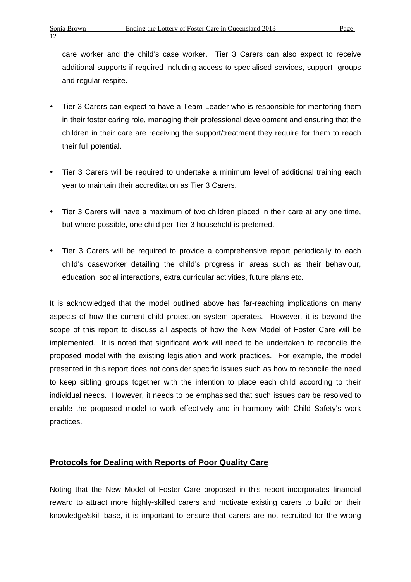care worker and the child's case worker. Tier 3 Carers can also expect to receive additional supports if required including access to specialised services, support groups and regular respite.

- Tier 3 Carers can expect to have a Team Leader who is responsible for mentoring them in their foster caring role, managing their professional development and ensuring that the children in their care are receiving the support/treatment they require for them to reach their full potential.
- Tier 3 Carers will be required to undertake a minimum level of additional training each year to maintain their accreditation as Tier 3 Carers.
- Tier 3 Carers will have a maximum of two children placed in their care at any one time, but where possible, one child per Tier 3 household is preferred.
- Tier 3 Carers will be required to provide a comprehensive report periodically to each child's caseworker detailing the child's progress in areas such as their behaviour, education, social interactions, extra curricular activities, future plans etc.

It is acknowledged that the model outlined above has far-reaching implications on many aspects of how the current child protection system operates. However, it is beyond the scope of this report to discuss all aspects of how the New Model of Foster Care will be implemented. It is noted that significant work will need to be undertaken to reconcile the proposed model with the existing legislation and work practices. For example, the model presented in this report does not consider specific issues such as how to reconcile the need to keep sibling groups together with the intention to place each child according to their individual needs. However, it needs to be emphasised that such issues *can* be resolved to enable the proposed model to work effectively and in harmony with Child Safety's work practices.

### **Protocols for Dealing with Reports of Poor Quality Care**

Noting that the New Model of Foster Care proposed in this report incorporates financial reward to attract more highly-skilled carers and motivate existing carers to build on their knowledge/skill base, it is important to ensure that carers are not recruited for the wrong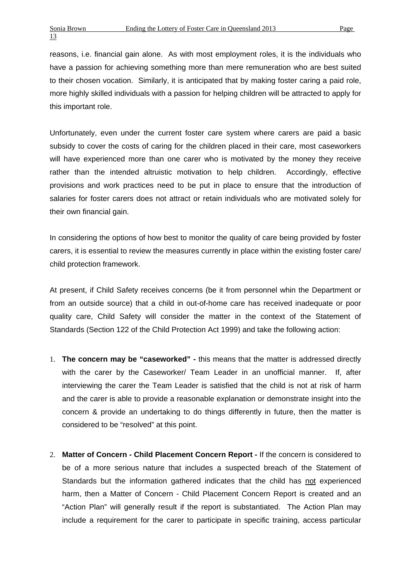reasons, i.e. financial gain alone. As with most employment roles, it is the individuals who have a passion for achieving something more than mere remuneration who are best suited to their chosen vocation. Similarly, it is anticipated that by making foster caring a paid role, more highly skilled individuals with a passion for helping children will be attracted to apply for this important role.

Unfortunately, even under the current foster care system where carers are paid a basic subsidy to cover the costs of caring for the children placed in their care, most caseworkers will have experienced more than one carer who is motivated by the money they receive rather than the intended altruistic motivation to help children. Accordingly, effective provisions and work practices need to be put in place to ensure that the introduction of salaries for foster carers does not attract or retain individuals who are motivated solely for their own financial gain.

In considering the options of how best to monitor the quality of care being provided by foster carers, it is essential to review the measures currently in place within the existing foster care/ child protection framework.

At present, if Child Safety receives concerns (be it from personnel whin the Department or from an outside source) that a child in out-of-home care has received inadequate or poor quality care, Child Safety will consider the matter in the context of the Statement of Standards (Section 122 of the Child Protection Act 1999) and take the following action:

- 1. **The concern may be "caseworked"** this means that the matter is addressed directly with the carer by the Caseworker/ Team Leader in an unofficial manner. If, after interviewing the carer the Team Leader is satisfied that the child is not at risk of harm and the carer is able to provide a reasonable explanation or demonstrate insight into the concern & provide an undertaking to do things differently in future, then the matter is considered to be "resolved" at this point.
- 2. **Matter of Concern Child Placement Concern Report** If the concern is considered to be of a more serious nature that includes a suspected breach of the Statement of Standards but the information gathered indicates that the child has not experienced harm, then a Matter of Concern - Child Placement Concern Report is created and an "Action Plan" will generally result if the report is substantiated. The Action Plan may include a requirement for the carer to participate in specific training, access particular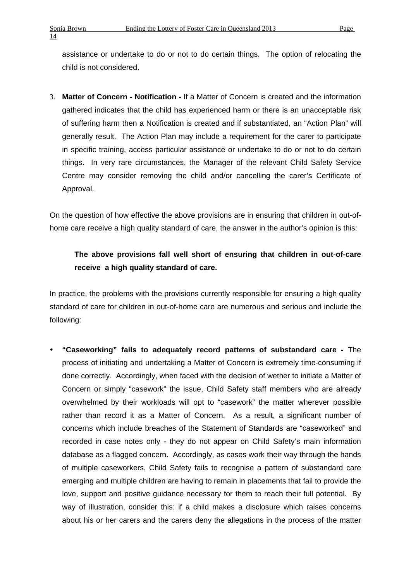assistance or undertake to do or not to do certain things. The option of relocating the child is not considered.

3. **Matter of Concern - Notification -** If a Matter of Concern is created and the information gathered indicates that the child has experienced harm or there is an unacceptable risk of suffering harm then a Notification is created and if substantiated, an "Action Plan" will generally result. The Action Plan may include a requirement for the carer to participate in specific training, access particular assistance or undertake to do or not to do certain things. In very rare circumstances, the Manager of the relevant Child Safety Service Centre may consider removing the child and/or cancelling the carer's Certificate of Approval.

On the question of how effective the above provisions are in ensuring that children in out-ofhome care receive a high quality standard of care, the answer in the author's opinion is this:

# **The above provisions fall well short of ensuring that children in out-of-care receive a high quality standard of care.**

In practice, the problems with the provisions currently responsible for ensuring a high quality standard of care for children in out-of-home care are numerous and serious and include the following:

 **"Caseworking" fails to adequately record patterns of substandard care -** The process of initiating and undertaking a Matter of Concern is extremely time-consuming if done correctly. Accordingly, when faced with the decision of wether to initiate a Matter of Concern or simply "casework" the issue, Child Safety staff members who are already overwhelmed by their workloads will opt to "casework" the matter wherever possible rather than record it as a Matter of Concern. As a result, a significant number of concerns which include breaches of the Statement of Standards are "caseworked" and recorded in case notes only - they do not appear on Child Safety's main information database as a flagged concern. Accordingly, as cases work their way through the hands of multiple caseworkers, Child Safety fails to recognise a pattern of substandard care emerging and multiple children are having to remain in placements that fail to provide the love, support and positive guidance necessary for them to reach their full potential. By way of illustration, consider this: if a child makes a disclosure which raises concerns about his or her carers and the carers deny the allegations in the process of the matter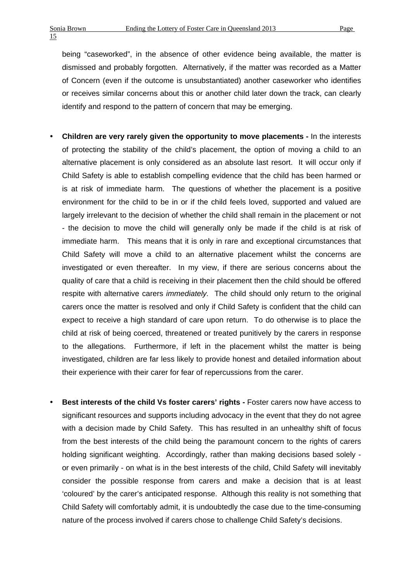being "caseworked", in the absence of other evidence being available, the matter is dismissed and probably forgotten. Alternatively, if the matter was recorded as a Matter of Concern (even if the outcome is unsubstantiated) another caseworker who identifies or receives similar concerns about this or another child later down the track, can clearly identify and respond to the pattern of concern that may be emerging.

- **Children are very rarely given the opportunity to move placements** In the interests of protecting the stability of the child's placement, the option of moving a child to an alternative placement is only considered as an absolute last resort. It will occur only if Child Safety is able to establish compelling evidence that the child has been harmed or is at risk of immediate harm. The questions of whether the placement is a positive environment for the child to be in or if the child feels loved, supported and valued are largely irrelevant to the decision of whether the child shall remain in the placement or not - the decision to move the child will generally only be made if the child is at risk of immediate harm. This means that it is only in rare and exceptional circumstances that Child Safety will move a child to an alternative placement whilst the concerns are investigated or even thereafter. In my view, if there are serious concerns about the quality of care that a child is receiving in their placement then the child should be offered respite with alternative carers *immediately.* The child should only return to the original carers once the matter is resolved and only if Child Safety is confident that the child can expect to receive a high standard of care upon return. To do otherwise is to place the child at risk of being coerced, threatened or treated punitively by the carers in response to the allegations. Furthermore, if left in the placement whilst the matter is being investigated, children are far less likely to provide honest and detailed information about their experience with their carer for fear of repercussions from the carer.
- Best interests of the child Vs foster carers' rights Foster carers now have access to significant resources and supports including advocacy in the event that they do not agree with a decision made by Child Safety. This has resulted in an unhealthy shift of focus from the best interests of the child being the paramount concern to the rights of carers holding significant weighting. Accordingly, rather than making decisions based solely or even primarily - on what is in the best interests of the child, Child Safety will inevitably consider the possible response from carers and make a decision that is at least 'coloured' by the carer's anticipated response. Although this reality is not something that Child Safety will comfortably admit, it is undoubtedly the case due to the time-consuming nature of the process involved if carers chose to challenge Child Safety's decisions.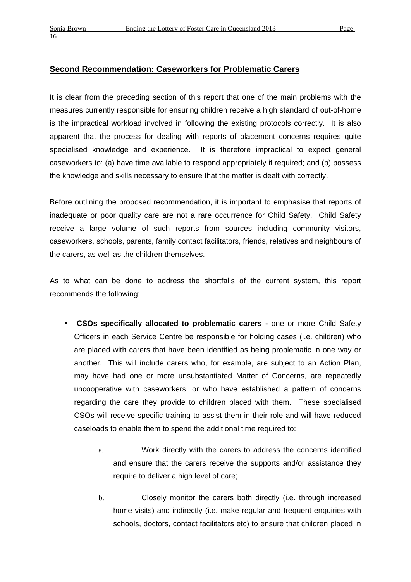### **Second Recommendation: Caseworkers for Problematic Carers**

It is clear from the preceding section of this report that one of the main problems with the measures currently responsible for ensuring children receive a high standard of out-of-home is the impractical workload involved in following the existing protocols correctly. It is also apparent that the process for dealing with reports of placement concerns requires quite specialised knowledge and experience. It is therefore impractical to expect general caseworkers to: (a) have time available to respond appropriately if required; and (b) possess the knowledge and skills necessary to ensure that the matter is dealt with correctly.

Before outlining the proposed recommendation, it is important to emphasise that reports of inadequate or poor quality care are not a rare occurrence for Child Safety. Child Safety receive a large volume of such reports from sources including community visitors, caseworkers, schools, parents, family contact facilitators, friends, relatives and neighbours of the carers, as well as the children themselves.

As to what can be done to address the shortfalls of the current system, this report recommends the following:

- **CSOs specifically allocated to problematic carers** one or more Child Safety Officers in each Service Centre be responsible for holding cases (i.e. children) who are placed with carers that have been identified as being problematic in one way or another. This will include carers who, for example, are subject to an Action Plan, may have had one or more unsubstantiated Matter of Concerns, are repeatedly uncooperative with caseworkers, or who have established a pattern of concerns regarding the care they provide to children placed with them. These specialised CSOs will receive specific training to assist them in their role and will have reduced caseloads to enable them to spend the additional time required to:
	- a. Work directly with the carers to address the concerns identified and ensure that the carers receive the supports and/or assistance they require to deliver a high level of care;
	- b. Closely monitor the carers both directly (i.e. through increased home visits) and indirectly (i.e. make regular and frequent enquiries with schools, doctors, contact facilitators etc) to ensure that children placed in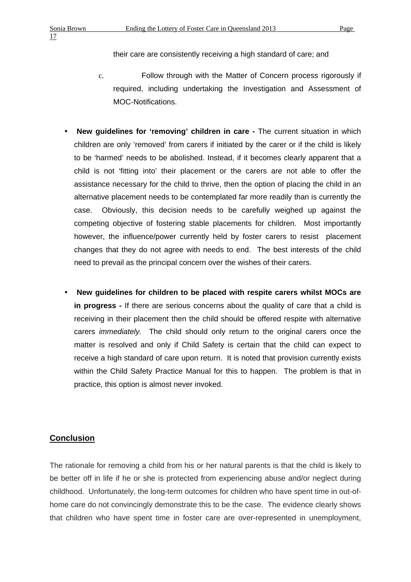their care are consistently receiving a high standard of care; and

- c. Follow through with the Matter of Concern process rigorously if required, including undertaking the Investigation and Assessment of MOC-Notifications.
- **New guidelines for 'removing' children in care** The current situation in which children are only 'removed' from carers if initiated by the carer or if the child is likely to be 'harmed' needs to be abolished. Instead, if it becomes clearly apparent that a child is not 'fitting into' their placement or the carers are not able to offer the assistance necessary for the child to thrive, then the option of placing the child in an alternative placement needs to be contemplated far more readily than is currently the case. Obviously, this decision needs to be carefully weighed up against the competing objective of fostering stable placements for children. Most importantly however, the influence/power currently held by foster carers to resist placement changes that they do not agree with needs to end. The best interests of the child need to prevail as the principal concern over the wishes of their carers.
- **New guidelines for children to be placed with respite carers whilst MOCs are in progress -** If there are serious concerns about the quality of care that a child is receiving in their placement then the child should be offered respite with alternative carers *immediately.* The child should only return to the original carers once the matter is resolved and only if Child Safety is certain that the child can expect to receive a high standard of care upon return. It is noted that provision currently exists within the Child Safety Practice Manual for this to happen. The problem is that in practice, this option is almost never invoked.

### **Conclusion**

The rationale for removing a child from his or her natural parents is that the child is likely to be better off in life if he or she is protected from experiencing abuse and/or neglect during childhood. Unfortunately, the long-term outcomes for children who have spent time in out-ofhome care do not convincingly demonstrate this to be the case. The evidence clearly shows that children who have spent time in foster care are over-represented in unemployment,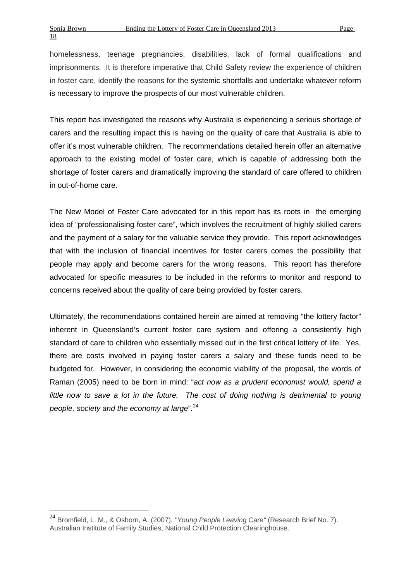homelessness, teenage pregnancies, disabilities, lack of formal qualifications and imprisonments. It is therefore imperative that Child Safety review the experience of children in foster care, identify the reasons for the systemic shortfalls and undertake whatever reform is necessary to improve the prospects of our most vulnerable children.

This report has investigated the reasons why Australia is experiencing a serious shortage of carers and the resulting impact this is having on the quality of care that Australia is able to offer it's most vulnerable children. The recommendations detailed herein offer an alternative approach to the existing model of foster care, which is capable of addressing both the shortage of foster carers and dramatically improving the standard of care offered to children in out-of-home care.

The New Model of Foster Care advocated for in this report has its roots in the emerging idea of "professionalising foster care", which involves the recruitment of highly skilled carers and the payment of a salary for the valuable service they provide. This report acknowledges that with the inclusion of financial incentives for foster carers comes the possibility that people may apply and become carers for the wrong reasons. This report has therefore advocated for specific measures to be included in the reforms to monitor and respond to concerns received about the quality of care being provided by foster carers.

Ultimately, the recommendations contained herein are aimed at removing "the lottery factor" inherent in Queensland's current foster care system and offering a consistently high standard of care to children who essentially missed out in the first critical lottery of life. Yes, there are costs involved in paying foster carers a salary and these funds need to be budgeted for. However, in considering the economic viability of the proposal, the words of Raman (2005) need to be born in mind: "*act now as a prudent economist would, spend a*  little now to save a lot in the future. The cost of doing nothing is detrimental to young *people, society and the economy at large*".[24](#page-8-0)

<sup>24</sup> Bromfield, L. M., & Osborn, A. (2007). *"Young People Leaving Care"* (Research Brief No. 7). Australian Institute of Family Studies, National Child Protection Clearinghouse.